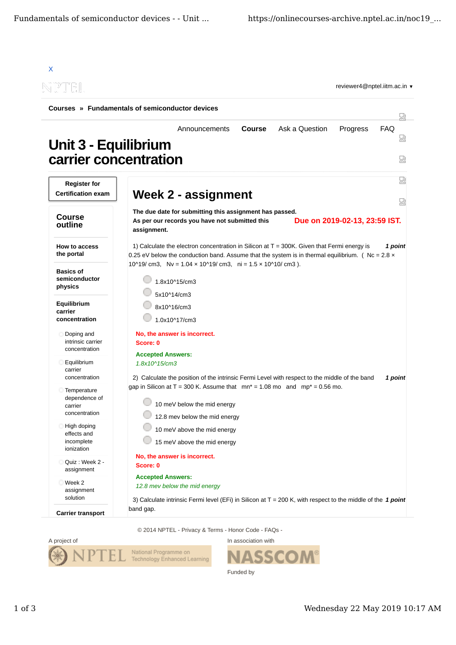|                                                          | Courses » Fundamentals of semiconductor devices                                                                                                                                                                          |                      |
|----------------------------------------------------------|--------------------------------------------------------------------------------------------------------------------------------------------------------------------------------------------------------------------------|----------------------|
|                                                          |                                                                                                                                                                                                                          | 닜                    |
| Unit 3 - Equilibrium                                     | Ask a Question<br>Announcements<br><b>Course</b><br>Progress<br>carrier concentration                                                                                                                                    | <b>FAQ</b><br>썮<br>얺 |
| <b>Register for</b><br><b>Certification exam</b>         | Week 2 - assignment                                                                                                                                                                                                      | 썮                    |
| <b>Course</b><br>outline                                 | The due date for submitting this assignment has passed.<br>Due on 2019-02-13, 23:59 IST.<br>As per our records you have not submitted this                                                                               | 얺                    |
| <b>How to access</b><br>the portal                       | assignment.<br>1) Calculate the electron concentration in Silicon at $T = 300K$ . Given that Fermi energy is<br>0.25 eV below the conduction band. Assume that the system is in thermal equilibrium. ( Nc = $2.8 \times$ | 1 point              |
| <b>Basics of</b><br>semiconductor<br>physics             | 10^19/ cm3, Nv = $1.04 \times 10^{19}$ / cm3, ni = $1.5 \times 10^{10}$ / cm3).<br>1.8x10^15/cm3<br>5x10^14/cm3                                                                                                          |                      |
| Equilibrium<br>carrier<br>concentration                  | 8x10^16/cm3<br>1.0x10^17/cm3                                                                                                                                                                                             |                      |
| Doping and<br>intrinsic carrier<br>concentration         | No, the answer is incorrect.<br>Score: 0                                                                                                                                                                                 |                      |
| Equilibrium<br>carrier<br>concentration                  | <b>Accepted Answers:</b><br>1.8x10^15/cm3<br>2) Calculate the position of the intrinsic Fermi Level with respect to the middle of the band                                                                               | 1 point              |
| Temperature<br>dependence of<br>carrier<br>concentration | gap in Silicon at T = 300 K. Assume that $mn* = 1.08$ mo and $mp* = 0.56$ mo.<br>10 meV below the mid energy<br>12.8 mev below the mid energy                                                                            |                      |
| High doping<br>effects and<br>incomplete<br>ionization   | 10 meV above the mid energy<br>15 meV above the mid energy                                                                                                                                                               |                      |
| Quiz: Week 2 -<br>assignment                             | No, the answer is incorrect.<br>Score: 0                                                                                                                                                                                 |                      |
| Week 2<br>assignment<br>solution                         | <b>Accepted Answers:</b><br>12.8 mev below the mid energy                                                                                                                                                                |                      |
| <b>Carrier transport</b>                                 | 3) Calculate intrinsic Fermi level (EFi) in Silicon at T = 200 K, with respect to the middle of the 1 point<br>band gap.                                                                                                 |                      |

© 2014 NPTEL - Privacy & Terms - Honor Code - FAQs -



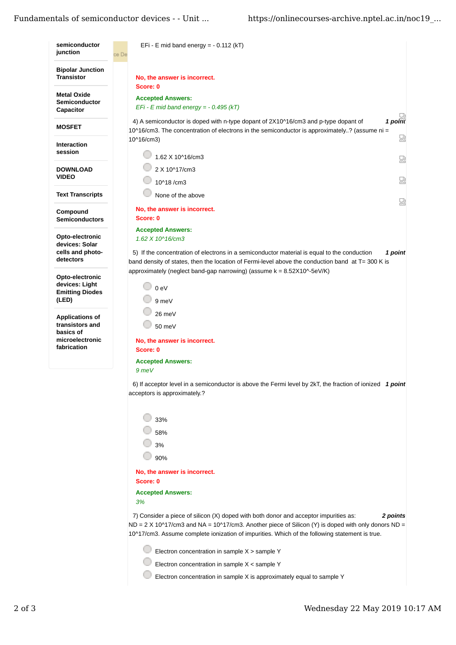## Fundamentals of semiconductor devices - - Unit ... https://onlinecourses-archive.nptel.ac.in/noc19 ...